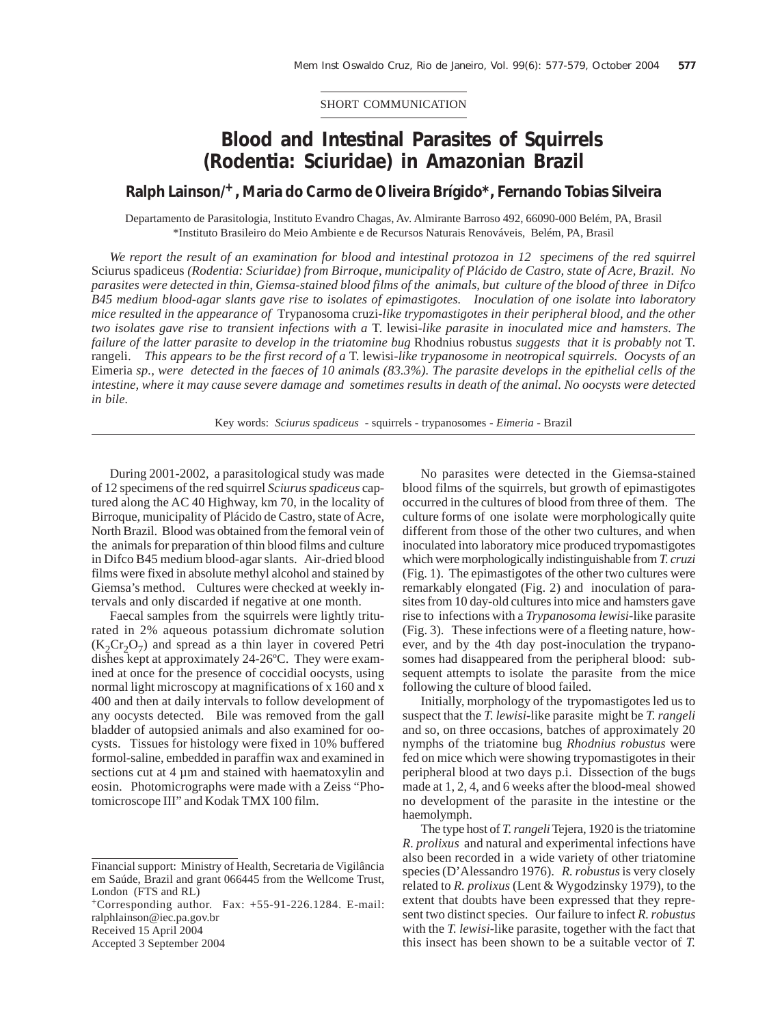SHORT COMMUNICATION

## **Blood and Intestinal Parasites of Squirrels (Rodentia: Sciuridae) in Amazonian Brazil**

## **Ralph Lainson/+, Maria do Carmo de Oliveira Brígido\*, Fernando Tobias Silveira**

Departamento de Parasitologia, Instituto Evandro Chagas, Av. Almirante Barroso 492, 66090-000 Belém, PA, Brasil \*Instituto Brasileiro do Meio Ambiente e de Recursos Naturais Renováveis, Belém, PA, Brasil

*We report the result of an examination for blood and intestinal protozoa in 12 specimens of the red squirrel* Sciurus spadiceus *(Rodentia: Sciuridae) from Birroque*, *municipality of Plácido de Castro, state of Acre, Brazil. No parasites were detected in thin, Giemsa-stained blood films of the animals, but culture of the blood of three in Difco B45 medium blood-agar slants gave rise to isolates of epimastigotes. Inoculation of one isolate into laboratory mice resulted in the appearance of* Trypanosoma cruzi-*like trypomastigotes in their peripheral blood, and the other two isolates gave rise to transient infections with a* T. lewisi-*like parasite in inoculated mice and hamsters. The failure of the latter parasite to develop in the triatomine bug* Rhodnius robustus *suggests that it is probably not* T. rangeli. *This appears to be the first record of a* T. lewisi-*like trypanosome in neotropical squirrels. Oocysts of an* Eimeria *sp., were detected in the faeces of 10 animals (83.3%). The parasite develops in the epithelial cells of the intestine, where it may cause severe damage and sometimes results in death of the animal. No oocysts were detected in bile.*

Key words: *Sciurus spadiceus* - squirrels - trypanosomes - *Eimeria* - Brazil

During 2001-2002, a parasitological study was made of 12 specimens of the red squirrel *Sciurus spadiceus* captured along the AC 40 Highway, km 70, in the locality of Birroque, municipality of Plácido de Castro, state of Acre, North Brazil. Blood was obtained from the femoral vein of the animals for preparation of thin blood films and culture in Difco B45 medium blood-agar slants. Air-dried blood films were fixed in absolute methyl alcohol and stained by Giemsa's method. Cultures were checked at weekly intervals and only discarded if negative at one month.

Faecal samples from the squirrels were lightly triturated in 2% aqueous potassium dichromate solution  $(K_2Cr_2O_7)$  and spread as a thin layer in covered Petri dishes kept at approximately 24-26ºC. They were examined at once for the presence of coccidial oocysts, using normal light microscopy at magnifications of x 160 and x 400 and then at daily intervals to follow development of any oocysts detected. Bile was removed from the gall bladder of autopsied animals and also examined for oocysts. Tissues for histology were fixed in 10% buffered formol-saline, embedded in paraffin wax and examined in sections cut at 4  $\mu$ m and stained with haematoxylin and eosin. Photomicrographs were made with a Zeiss "Photomicroscope III" and Kodak TMX 100 film.

 $+$ Corresponding author. Fax:  $+55-91-226.1284$ . E-mail: ralphlainson@iec.pa.gov.br Received 15 April 2004

Accepted 3 September 2004

No parasites were detected in the Giemsa-stained blood films of the squirrels, but growth of epimastigotes occurred in the cultures of blood from three of them. The culture forms of one isolate were morphologically quite different from those of the other two cultures, and when inoculated into laboratory mice produced trypomastigotes which were morphologically indistinguishable from *T. cruzi* (Fig. 1).The epimastigotes of the other two cultures were remarkably elongated (Fig. 2) and inoculation of parasites from 10 day-old cultures into mice and hamsters gave rise to infections with a *Trypanosoma lewisi-*like parasite (Fig. 3). These infections were of a fleeting nature, however, and by the 4th day post-inoculation the trypanosomes had disappeared from the peripheral blood: subsequent attempts to isolate the parasite from the mice following the culture of blood failed.

Initially, morphology of the trypomastigotes led us to suspect that the *T. lewisi-*like parasite might be *T. rangeli* and so, on three occasions, batches of approximately 20 nymphs of the triatomine bug *Rhodnius robustus* were fed on mice which were showing trypomastigotes in their peripheral blood at two days p.i. Dissection of the bugs made at 1, 2, 4, and 6 weeks after the blood-meal showed no development of the parasite in the intestine or the haemolymph.

The type host of *T. rangeli* Tejera, 1920 is the triatomine *R. prolixus* and natural and experimental infections have also been recorded in a wide variety of other triatomine species (D'Alessandro 1976). *R. robustus* is very closely related to *R. prolixus* (Lent & Wygodzinsky 1979), to the extent that doubts have been expressed that they represent two distinct species. Our failure to infect *R. robustus* with the *T. lewisi-*like parasite, together with the fact that this insect has been shown to be a suitable vector of *T.*

Financial support: Ministry of Health, Secretaria de Vigilância em Saúde, Brazil and grant 066445 from the Wellcome Trust, London (FTS and RL)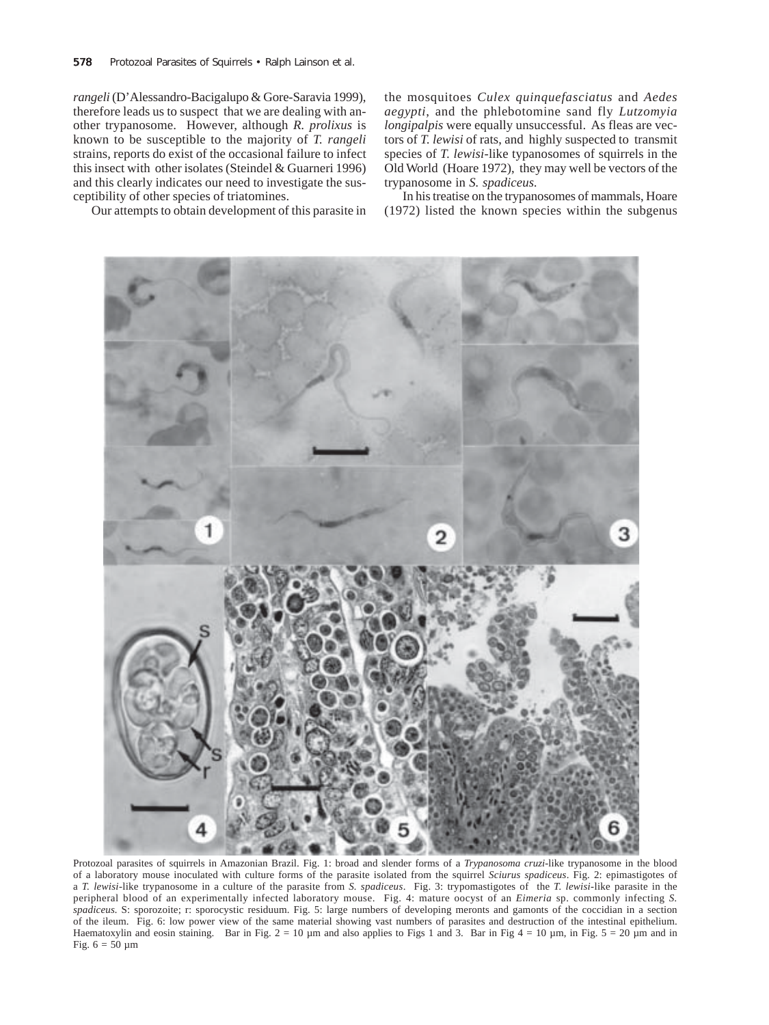*rangeli* (D'Alessandro-Bacigalupo & Gore-Saravia 1999), therefore leads us to suspect that we are dealing with another trypanosome. However, although *R. prolixus* is known to be susceptible to the majority of *T. rangeli* strains, reports do exist of the occasional failure to infect this insect with other isolates (Steindel & Guarneri 1996) and this clearly indicates our need to investigate the susceptibility of other species of triatomines.

Our attempts to obtain development of this parasite in

the mosquitoes *Culex quinquefasciatus* and *Aedes aegypti*, and the phlebotomine sand fly *Lutzomyia longipalpis* were equally unsuccessful. As fleas are vectors of *T. lewisi* of rats, and highly suspected to transmit species of *T. lewisi*-like typanosomes of squirrels in the Old World (Hoare 1972), they may well be vectors of the trypanosome in *S. spadiceus.*

In his treatise on the trypanosomes of mammals, Hoare (1972) listed the known species within the subgenus



Protozoal parasites of squirrels in Amazonian Brazil. Fig. 1: broad and slender forms of a *Trypanosoma cruzi-*like trypanosome in the blood of a laboratory mouse inoculated with culture forms of the parasite isolated from the squirrel *Sciurus spadiceus*. Fig. 2: epimastigotes of a *T. lewisi*-like trypanosome in a culture of the parasite from *S. spadiceus*. Fig. 3: trypomastigotes of the *T. lewisi-*like parasite in the peripheral blood of an experimentally infected laboratory mouse. Fig. 4: mature oocyst of an *Eimeria* sp. commonly infecting *S. spadiceus.* S: sporozoite; r: sporocystic residuum. Fig. 5: large numbers of developing meronts and gamonts of the coccidian in a section of the ileum. Fig. 6: low power view of the same material showing vast numbers of parasites and destruction of the intestinal epithelium. Haematoxylin and eosin staining. Bar in Fig.  $2 = 10$  um and also applies to Figs 1 and 3. Bar in Fig  $4 = 10$  um, in Fig.  $5 = 20$  um and in Fig.  $6 = 50 \mu m$